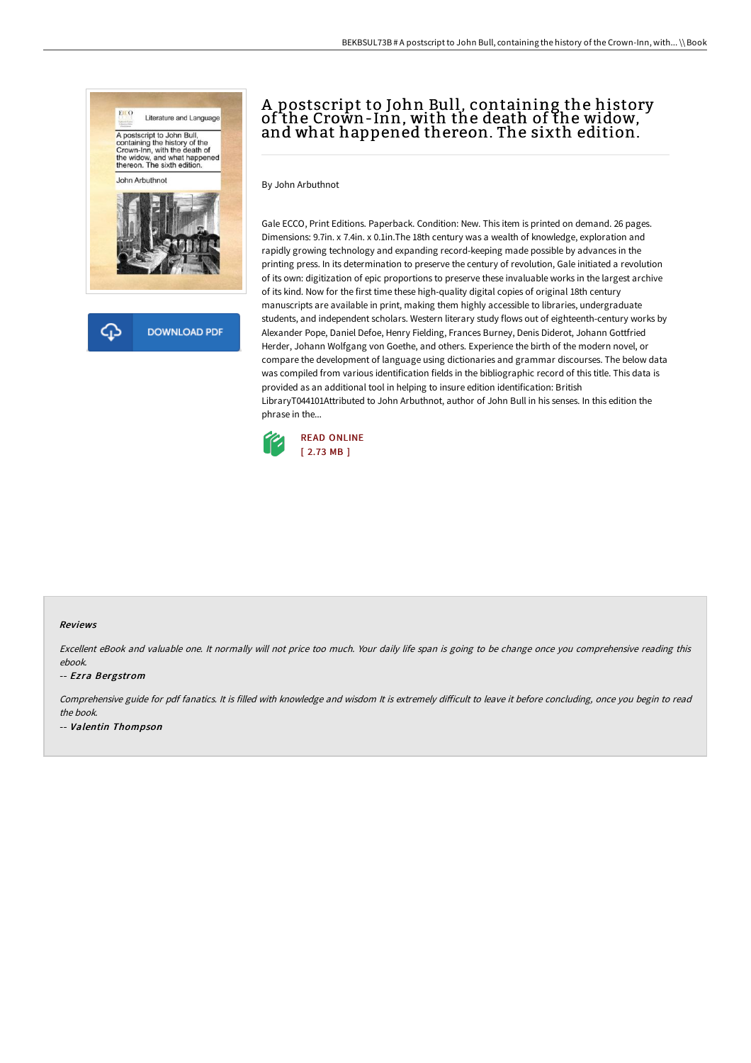

क़ **DOWNLOAD PDF** 

# A postscript to John Bull, containing the history of the Crown-Inn, with the death of the widow, and what happened thereon. The sixth edition.

By John Arbuthnot

Gale ECCO, Print Editions. Paperback. Condition: New. This item is printed on demand. 26 pages. Dimensions: 9.7in. x 7.4in. x 0.1in.The 18th century was a wealth of knowledge, exploration and rapidly growing technology and expanding record-keeping made possible by advances in the printing press. In its determination to preserve the century of revolution, Gale initiated a revolution of its own: digitization of epic proportions to preserve these invaluable works in the largest archive of its kind. Now for the first time these high-quality digital copies of original 18th century manuscripts are available in print, making them highly accessible to libraries, undergraduate students, and independent scholars. Western literary study flows out of eighteenth-century works by Alexander Pope, Daniel Defoe, Henry Fielding, Frances Burney, Denis Diderot, Johann Gottfried Herder, Johann Wolfgang von Goethe, and others. Experience the birth of the modern novel, or compare the development of language using dictionaries and grammar discourses. The below data was compiled from various identification fields in the bibliographic record of this title. This data is provided as an additional tool in helping to insure edition identification: British LibraryT044101Attributed to John Arbuthnot, author of John Bull in his senses. In this edition the phrase in the...



#### Reviews

Excellent eBook and valuable one. It normally will not price too much. Your daily life span is going to be change once you comprehensive reading this ebook.

#### -- Ezra Bergstrom

Comprehensive guide for pdf fanatics. It is filled with knowledge and wisdom It is extremely difficult to leave it before concluding, once you begin to read the book. -- Valentin Thompson